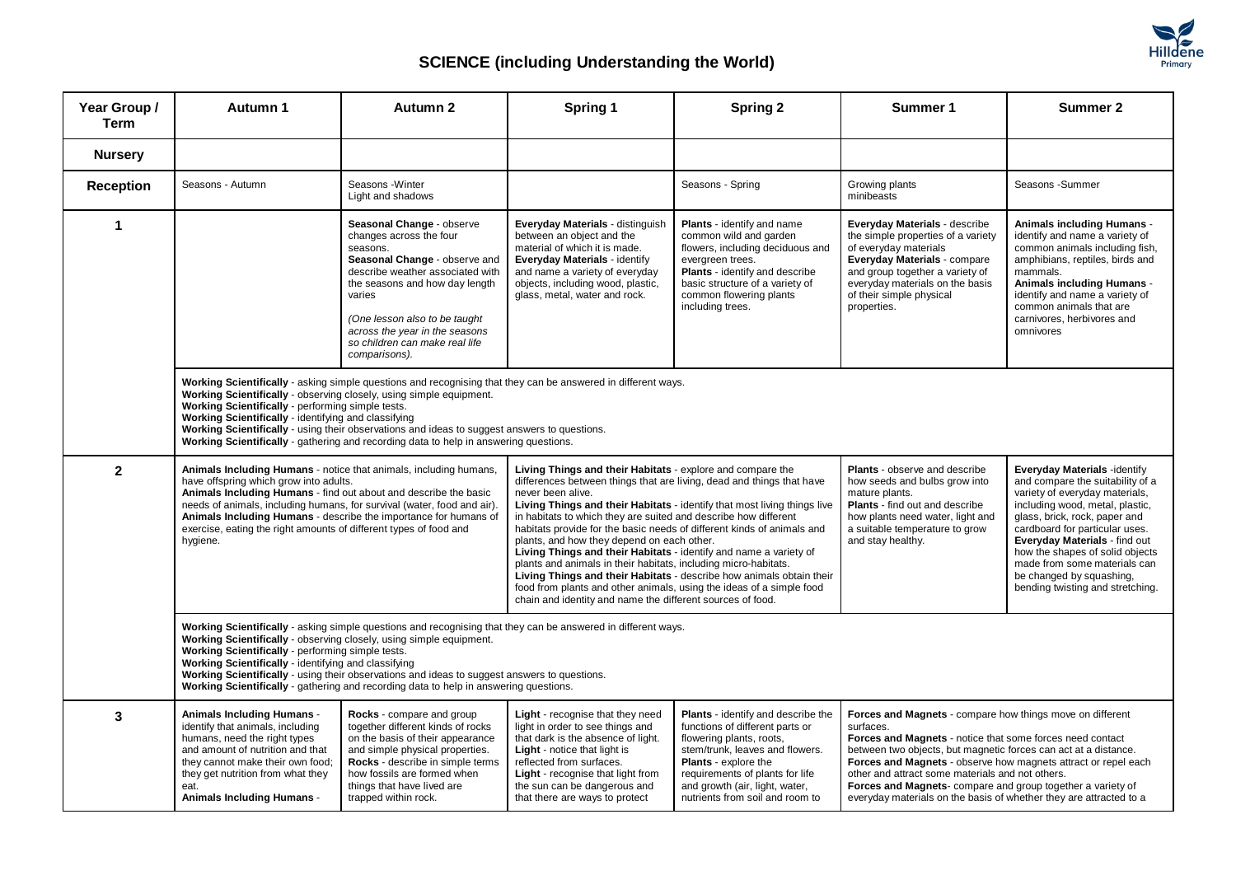

## **SCIENCE (including Understanding the World)**

| Year Group /<br><b>Term</b> | Autumn 1                                                                                                                                                                                                                                                                                                                                                                                                                                                                                   | Autumn 2                                                                                                                                                                                                                                                                                                | Spring 1                                                                                                                                                                                                                                                                                                                                                                                                                                                                                                                                                                                                                                                                                                                                                                              | <b>Spring 2</b>                                                                                                                                                                                                                                                                    | Summer 1                                                                                                                                                                                                                                                                                                                                                                                                                                                          | Summer 2                                                                                                                                                                                                                                                                                                                                                                     |  |  |
|-----------------------------|--------------------------------------------------------------------------------------------------------------------------------------------------------------------------------------------------------------------------------------------------------------------------------------------------------------------------------------------------------------------------------------------------------------------------------------------------------------------------------------------|---------------------------------------------------------------------------------------------------------------------------------------------------------------------------------------------------------------------------------------------------------------------------------------------------------|---------------------------------------------------------------------------------------------------------------------------------------------------------------------------------------------------------------------------------------------------------------------------------------------------------------------------------------------------------------------------------------------------------------------------------------------------------------------------------------------------------------------------------------------------------------------------------------------------------------------------------------------------------------------------------------------------------------------------------------------------------------------------------------|------------------------------------------------------------------------------------------------------------------------------------------------------------------------------------------------------------------------------------------------------------------------------------|-------------------------------------------------------------------------------------------------------------------------------------------------------------------------------------------------------------------------------------------------------------------------------------------------------------------------------------------------------------------------------------------------------------------------------------------------------------------|------------------------------------------------------------------------------------------------------------------------------------------------------------------------------------------------------------------------------------------------------------------------------------------------------------------------------------------------------------------------------|--|--|
| <b>Nursery</b>              |                                                                                                                                                                                                                                                                                                                                                                                                                                                                                            |                                                                                                                                                                                                                                                                                                         |                                                                                                                                                                                                                                                                                                                                                                                                                                                                                                                                                                                                                                                                                                                                                                                       |                                                                                                                                                                                                                                                                                    |                                                                                                                                                                                                                                                                                                                                                                                                                                                                   |                                                                                                                                                                                                                                                                                                                                                                              |  |  |
| <b>Reception</b>            | Seasons - Autumn                                                                                                                                                                                                                                                                                                                                                                                                                                                                           | Seasons - Winter<br>Light and shadows                                                                                                                                                                                                                                                                   |                                                                                                                                                                                                                                                                                                                                                                                                                                                                                                                                                                                                                                                                                                                                                                                       | Seasons - Spring                                                                                                                                                                                                                                                                   | Growing plants<br>minibeasts                                                                                                                                                                                                                                                                                                                                                                                                                                      | Seasons - Summer                                                                                                                                                                                                                                                                                                                                                             |  |  |
| $\blacktriangleleft$        |                                                                                                                                                                                                                                                                                                                                                                                                                                                                                            | Seasonal Change - observe<br>changes across the four<br>seasons.<br>Seasonal Change - observe and<br>describe weather associated with<br>the seasons and how day length<br>varies<br>(One lesson also to be taught<br>across the year in the seasons<br>so children can make real life<br>comparisons). | Everyday Materials - distinguish<br>between an object and the<br>material of which it is made.<br>Everyday Materials - identify<br>and name a variety of everyday<br>objects, including wood, plastic,<br>glass, metal, water and rock.                                                                                                                                                                                                                                                                                                                                                                                                                                                                                                                                               | <b>Plants</b> - identify and name<br>common wild and garden<br>flowers, including deciduous and<br>evergreen trees.<br>Plants - identify and describe<br>basic structure of a variety of<br>common flowering plants<br>including trees.                                            | Everyday Materials - describe<br>the simple properties of a variety<br>of everyday materials<br><b>Everyday Materials - compare</b><br>and group together a variety of<br>everyday materials on the basis<br>of their simple physical<br>properties.                                                                                                                                                                                                              | <b>Animals including Humans -</b><br>identify and name a variety of<br>common animals including fish,<br>amphibians, reptiles, birds and<br>mammals.<br><b>Animals including Humans -</b><br>identify and name a variety of<br>common animals that are<br>carnivores, herbivores and<br>omnivores                                                                            |  |  |
|                             | Working Scientifically - asking simple questions and recognising that they can be answered in different ways.<br>Working Scientifically - observing closely, using simple equipment.<br>Working Scientifically - performing simple tests.<br>Working Scientifically - identifying and classifying<br>Working Scientifically - using their observations and ideas to suggest answers to questions.<br>Working Scientifically - gathering and recording data to help in answering questions. |                                                                                                                                                                                                                                                                                                         |                                                                                                                                                                                                                                                                                                                                                                                                                                                                                                                                                                                                                                                                                                                                                                                       |                                                                                                                                                                                                                                                                                    |                                                                                                                                                                                                                                                                                                                                                                                                                                                                   |                                                                                                                                                                                                                                                                                                                                                                              |  |  |
| $\mathbf{2}$                | Animals Including Humans - notice that animals, including humans,<br>have offspring which grow into adults.<br>Animals Including Humans - find out about and describe the basic<br>needs of animals, including humans, for survival (water, food and air).<br>Animals Including Humans - describe the importance for humans of<br>exercise, eating the right amounts of different types of food and<br>hygiene.                                                                            |                                                                                                                                                                                                                                                                                                         | Living Things and their Habitats - explore and compare the<br>differences between things that are living, dead and things that have<br>never been alive.<br>Living Things and their Habitats - identify that most living things live<br>in habitats to which they are suited and describe how different<br>habitats provide for the basic needs of different kinds of animals and<br>plants, and how they depend on each other.<br>Living Things and their Habitats - identify and name a variety of<br>plants and animals in their habitats, including micro-habitats.<br>Living Things and their Habitats - describe how animals obtain their<br>food from plants and other animals, using the ideas of a simple food<br>chain and identity and name the different sources of food. |                                                                                                                                                                                                                                                                                    | Plants - observe and describe<br>how seeds and bulbs grow into<br>mature plants.<br><b>Plants</b> - find out and describe<br>how plants need water, light and<br>a suitable temperature to grow<br>and stay healthy.                                                                                                                                                                                                                                              | Everyday Materials -identify<br>and compare the suitability of a<br>variety of everyday materials,<br>including wood, metal, plastic,<br>glass, brick, rock, paper and<br>cardboard for particular uses.<br>Everyday Materials - find out<br>how the shapes of solid objects<br>made from some materials can<br>be changed by squashing,<br>bending twisting and stretching. |  |  |
|                             | Working Scientifically - asking simple questions and recognising that they can be answered in different ways.<br>Working Scientifically - observing closely, using simple equipment.<br>Working Scientifically - performing simple tests.<br>Working Scientifically - identifying and classifying<br>Working Scientifically - using their observations and ideas to suggest answers to questions.<br>Working Scientifically - gathering and recording data to help in answering questions. |                                                                                                                                                                                                                                                                                                         |                                                                                                                                                                                                                                                                                                                                                                                                                                                                                                                                                                                                                                                                                                                                                                                       |                                                                                                                                                                                                                                                                                    |                                                                                                                                                                                                                                                                                                                                                                                                                                                                   |                                                                                                                                                                                                                                                                                                                                                                              |  |  |
| 3                           | <b>Animals Including Humans -</b><br>identify that animals, including<br>humans, need the right types<br>and amount of nutrition and that<br>they cannot make their own food;<br>they get nutrition from what they<br>eat.<br><b>Animals Including Humans -</b>                                                                                                                                                                                                                            | Rocks - compare and group<br>together different kinds of rocks<br>on the basis of their appearance<br>and simple physical properties.<br>Rocks - describe in simple terms<br>how fossils are formed when<br>things that have lived are<br>trapped within rock.                                          | Light - recognise that they need<br>light in order to see things and<br>that dark is the absence of light.<br><b>Light</b> - notice that light is<br>reflected from surfaces.<br>Light - recognise that light from<br>the sun can be dangerous and<br>that there are ways to protect                                                                                                                                                                                                                                                                                                                                                                                                                                                                                                  | <b>Plants</b> - identify and describe the<br>functions of different parts or<br>flowering plants, roots,<br>stem/trunk, leaves and flowers.<br><b>Plants</b> - explore the<br>requirements of plants for life<br>and growth (air, light, water,<br>nutrients from soil and room to | Forces and Magnets - compare how things move on different<br>surfaces.<br>Forces and Magnets - notice that some forces need contact<br>between two objects, but magnetic forces can act at a distance.<br>Forces and Magnets - observe how magnets attract or repel each<br>other and attract some materials and not others.<br>Forces and Magnets- compare and group together a variety of<br>everyday materials on the basis of whether they are attracted to a |                                                                                                                                                                                                                                                                                                                                                                              |  |  |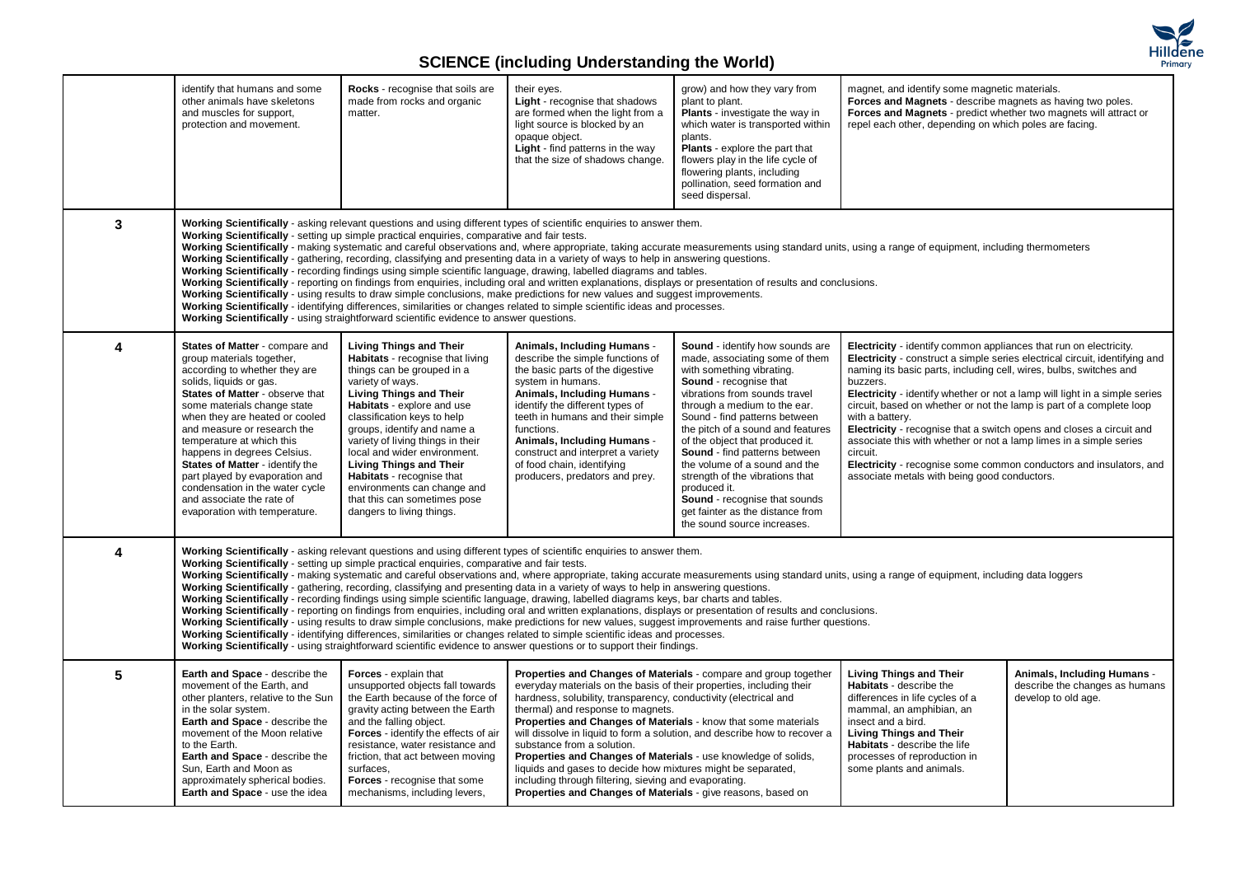

## **SCIENCE (including Understanding the World)**

|   | identify that humans and some<br>other animals have skeletons<br>and muscles for support,<br>protection and movement.                                                                                                                                                                                                                                                                                                                                                                                                                                                                                                                                                                                                                                                                                                                                                                                                                                                                                                                                                                                                                                                                                                                                                                    | Rocks - recognise that soils are<br>made from rocks and organic<br>matter.                                                                                                                                                                                                                                                                                                                                                                                                         | their eyes.<br><b>Light</b> - recognise that shadows<br>are formed when the light from a<br>light source is blocked by an<br>opaque object.<br>Light - find patterns in the way<br>that the size of shadows change.                                                                                                                                                                                                                                                                                                                      | grow) and how they vary from<br>plant to plant.<br><b>Plants</b> - investigate the way in<br>which water is transported within<br>plants.<br><b>Plants</b> - explore the part that<br>flowers play in the life cycle of<br>flowering plants, including<br>pollination, seed formation and<br>seed dispersal.                                                                                                                                                                                                                       | magnet, and identify some magnetic materials.<br>Forces and Magnets - describe magnets as having two poles.<br>Forces and Magnets - predict whether two magnets will attract or<br>repel each other, depending on which poles are facing.                                                                                                                                                                                                                                                                                                                                                                                                                                                   |                                                                                      |  |
|---|------------------------------------------------------------------------------------------------------------------------------------------------------------------------------------------------------------------------------------------------------------------------------------------------------------------------------------------------------------------------------------------------------------------------------------------------------------------------------------------------------------------------------------------------------------------------------------------------------------------------------------------------------------------------------------------------------------------------------------------------------------------------------------------------------------------------------------------------------------------------------------------------------------------------------------------------------------------------------------------------------------------------------------------------------------------------------------------------------------------------------------------------------------------------------------------------------------------------------------------------------------------------------------------|------------------------------------------------------------------------------------------------------------------------------------------------------------------------------------------------------------------------------------------------------------------------------------------------------------------------------------------------------------------------------------------------------------------------------------------------------------------------------------|------------------------------------------------------------------------------------------------------------------------------------------------------------------------------------------------------------------------------------------------------------------------------------------------------------------------------------------------------------------------------------------------------------------------------------------------------------------------------------------------------------------------------------------|------------------------------------------------------------------------------------------------------------------------------------------------------------------------------------------------------------------------------------------------------------------------------------------------------------------------------------------------------------------------------------------------------------------------------------------------------------------------------------------------------------------------------------|---------------------------------------------------------------------------------------------------------------------------------------------------------------------------------------------------------------------------------------------------------------------------------------------------------------------------------------------------------------------------------------------------------------------------------------------------------------------------------------------------------------------------------------------------------------------------------------------------------------------------------------------------------------------------------------------|--------------------------------------------------------------------------------------|--|
| 3 | Working Scientifically - asking relevant questions and using different types of scientific enquiries to answer them.<br>Working Scientifically - setting up simple practical enquiries, comparative and fair tests.<br>Working Scientifically - making systematic and careful observations and, where appropriate, taking accurate measurements using standard units, using a range of equipment, including thermometers<br>Working Scientifically - gathering, recording, classifying and presenting data in a variety of ways to help in answering questions.<br>Working Scientifically - recording findings using simple scientific language, drawing, labelled diagrams and tables.<br>Working Scientifically - reporting on findings from enquiries, including oral and written explanations, displays or presentation of results and conclusions.<br>Working Scientifically - using results to draw simple conclusions, make predictions for new values and suggest improvements.<br>Working Scientifically - identifying differences, similarities or changes related to simple scientific ideas and processes.<br>Working Scientifically - using straightforward scientific evidence to answer questions.                                                                        |                                                                                                                                                                                                                                                                                                                                                                                                                                                                                    |                                                                                                                                                                                                                                                                                                                                                                                                                                                                                                                                          |                                                                                                                                                                                                                                                                                                                                                                                                                                                                                                                                    |                                                                                                                                                                                                                                                                                                                                                                                                                                                                                                                                                                                                                                                                                             |                                                                                      |  |
| 4 | States of Matter - compare and<br>group materials together,<br>according to whether they are<br>solids, liquids or gas.<br>States of Matter - observe that<br>some materials change state<br>when they are heated or cooled<br>and measure or research the<br>temperature at which this<br>happens in degrees Celsius.<br>States of Matter - identify the<br>part played by evaporation and<br>condensation in the water cycle<br>and associate the rate of<br>evaporation with temperature.                                                                                                                                                                                                                                                                                                                                                                                                                                                                                                                                                                                                                                                                                                                                                                                             | <b>Living Things and Their</b><br>Habitats - recognise that living<br>things can be grouped in a<br>variety of ways.<br><b>Living Things and Their</b><br>Habitats - explore and use<br>classification keys to help<br>groups, identify and name a<br>variety of living things in their<br>local and wider environment.<br><b>Living Things and Their</b><br>Habitats - recognise that<br>environments can change and<br>that this can sometimes pose<br>dangers to living things. | Animals, Including Humans -<br>describe the simple functions of<br>the basic parts of the digestive<br>system in humans.<br>Animals, Including Humans -<br>identify the different types of<br>teeth in humans and their simple<br>functions.<br>Animals, Including Humans -<br>construct and interpret a variety<br>of food chain, identifying<br>producers, predators and prey.                                                                                                                                                         | Sound - identify how sounds are<br>made, associating some of them<br>with something vibrating.<br>Sound - recognise that<br>vibrations from sounds travel<br>through a medium to the ear.<br>Sound - find patterns between<br>the pitch of a sound and features<br>of the object that produced it.<br>Sound - find patterns between<br>the volume of a sound and the<br>strength of the vibrations that<br>produced it.<br><b>Sound</b> - recognise that sounds<br>get fainter as the distance from<br>the sound source increases. | Electricity - identify common appliances that run on electricity.<br>Electricity - construct a simple series electrical circuit, identifying and<br>naming its basic parts, including cell, wires, bulbs, switches and<br>buzzers.<br>Electricity - identify whether or not a lamp will light in a simple series<br>circuit, based on whether or not the lamp is part of a complete loop<br>with a battery.<br>Electricity - recognise that a switch opens and closes a circuit and<br>associate this with whether or not a lamp limes in a simple series<br>circuit.<br>Electricity - recognise some common conductors and insulators, and<br>associate metals with being good conductors. |                                                                                      |  |
| 4 | Working Scientifically - asking relevant questions and using different types of scientific enquiries to answer them.<br>Working Scientifically - setting up simple practical enquiries, comparative and fair tests.<br>Working Scientifically - making systematic and careful observations and, where appropriate, taking accurate measurements using standard units, using a range of equipment, including data loggers<br>Working Scientifically - gathering, recording, classifying and presenting data in a variety of ways to help in answering questions.<br>Working Scientifically - recording findings using simple scientific language, drawing, labelled diagrams keys, bar charts and tables.<br>Working Scientifically - reporting on findings from enguiries, including oral and written explanations, displays or presentation of results and conclusions.<br>Working Scientifically - using results to draw simple conclusions, make predictions for new values, suggest improvements and raise further questions.<br>Working Scientifically - identifying differences, similarities or changes related to simple scientific ideas and processes.<br>Working Scientifically - using straightforward scientific evidence to answer questions or to support their findings. |                                                                                                                                                                                                                                                                                                                                                                                                                                                                                    |                                                                                                                                                                                                                                                                                                                                                                                                                                                                                                                                          |                                                                                                                                                                                                                                                                                                                                                                                                                                                                                                                                    |                                                                                                                                                                                                                                                                                                                                                                                                                                                                                                                                                                                                                                                                                             |                                                                                      |  |
| 5 | Earth and Space - describe the<br>movement of the Earth, and<br>other planters, relative to the Sun<br>in the solar system.<br>Earth and Space - describe the<br>movement of the Moon relative<br>to the Earth.<br>Earth and Space - describe the<br>Sun, Earth and Moon as<br>approximately spherical bodies.<br>Earth and Space - use the idea                                                                                                                                                                                                                                                                                                                                                                                                                                                                                                                                                                                                                                                                                                                                                                                                                                                                                                                                         | Forces - explain that<br>unsupported objects fall towards<br>the Earth because of the force of<br>gravity acting between the Earth<br>and the falling object.<br>Forces - identify the effects of air<br>resistance, water resistance and<br>friction, that act between moving<br>surfaces,<br>Forces - recognise that some<br>mechanisms, including levers,                                                                                                                       | everyday materials on the basis of their properties, including their<br>hardness, solubility, transparency, conductivity (electrical and<br>thermal) and response to magnets.<br>Properties and Changes of Materials - know that some materials<br>substance from a solution.<br>Properties and Changes of Materials - use knowledge of solids,<br>liquids and gases to decide how mixtures might be separated,<br>including through filtering, sieving and evaporating.<br>Properties and Changes of Materials - give reasons, based on | Properties and Changes of Materials - compare and group together<br>will dissolve in liquid to form a solution, and describe how to recover a                                                                                                                                                                                                                                                                                                                                                                                      | <b>Living Things and Their</b><br>Habitats - describe the<br>differences in life cycles of a<br>mammal, an amphibian, an<br>insect and a bird.<br><b>Living Things and Their</b><br>Habitats - describe the life<br>processes of reproduction in<br>some plants and animals.                                                                                                                                                                                                                                                                                                                                                                                                                | Animals, Including Humans -<br>describe the changes as humans<br>develop to old age. |  |